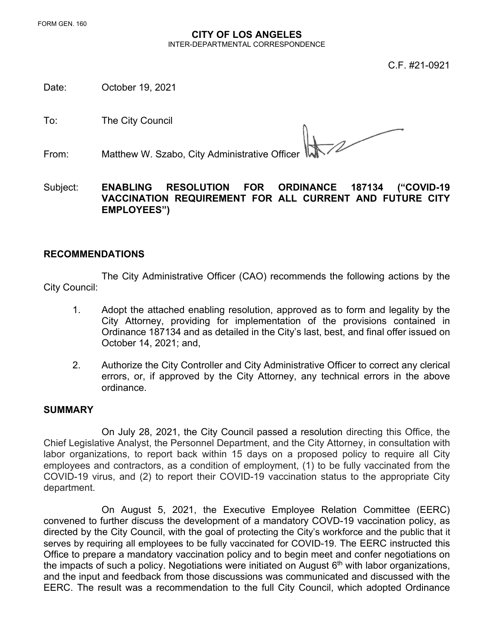## **CITY OF LOS ANGELES**  INTER-DEPARTMENTAL CORRESPONDENCE

C.F. #21-0921

Date: October 19, 2021

To: The City Council

From: Matthew W. Szabo, City Administrative Officer

Subject: **ENABLING RESOLUTION FOR ORDINANCE 187134 ("COVID-19 VACCINATION REQUIREMENT FOR ALL CURRENT AND FUTURE CITY EMPLOYEES")**

## **RECOMMENDATIONS**

The City Administrative Officer (CAO) recommends the following actions by the City Council:

- 1. Adopt the attached enabling resolution, approved as to form and legality by the City Attorney, providing for implementation of the provisions contained in Ordinance 187134 and as detailed in the City's last, best, and final offer issued on October 14, 2021; and,
- 2. Authorize the City Controller and City Administrative Officer to correct any clerical errors, or, if approved by the City Attorney, any technical errors in the above ordinance.

## **SUMMARY**

On July 28, 2021, the City Council passed a resolution directing this Office, the Chief Legislative Analyst, the Personnel Department, and the City Attorney, in consultation with labor organizations, to report back within 15 days on a proposed policy to require all City employees and contractors, as a condition of employment, (1) to be fully vaccinated from the COVID-19 virus, and (2) to report their COVID-19 vaccination status to the appropriate City department.

On August 5, 2021, the Executive Employee Relation Committee (EERC) convened to further discuss the development of a mandatory COVD-19 vaccination policy, as directed by the City Council, with the goal of protecting the City's workforce and the public that it serves by requiring all employees to be fully vaccinated for COVID-19. The EERC instructed this Office to prepare a mandatory vaccination policy and to begin meet and confer negotiations on the impacts of such a policy. Negotiations were initiated on August  $6<sup>th</sup>$  with labor organizations, and the input and feedback from those discussions was communicated and discussed with the EERC. The result was a recommendation to the full City Council, which adopted Ordinance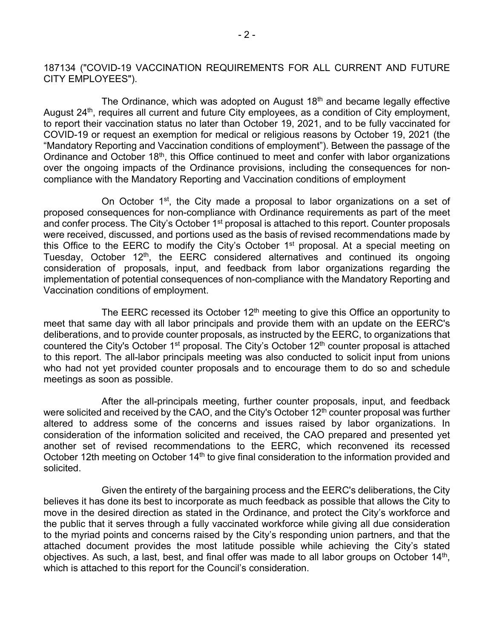187134 ("COVID-19 VACCINATION REQUIREMENTS FOR ALL CURRENT AND FUTURE CITY EMPLOYEES").

The Ordinance, which was adopted on August 18<sup>th</sup> and became legally effective August 24<sup>th</sup>, requires all current and future City employees, as a condition of City employment, to report their vaccination status no later than October 19, 2021, and to be fully vaccinated for COVID-19 or request an exemption for medical or religious reasons by October 19, 2021 (the "Mandatory Reporting and Vaccination conditions of employment"). Between the passage of the Ordinance and October 18<sup>th</sup>, this Office continued to meet and confer with labor organizations over the ongoing impacts of the Ordinance provisions, including the consequences for noncompliance with the Mandatory Reporting and Vaccination conditions of employment

On October 1<sup>st</sup>, the City made a proposal to labor organizations on a set of proposed consequences for non-compliance with Ordinance requirements as part of the meet and confer process. The City's October 1<sup>st</sup> proposal is attached to this report. Counter proposals were received, discussed, and portions used as the basis of revised recommendations made by this Office to the EERC to modify the City's October 1<sup>st</sup> proposal. At a special meeting on Tuesday, October 12<sup>th</sup>, the EERC considered alternatives and continued its ongoing consideration of proposals, input, and feedback from labor organizations regarding the implementation of potential consequences of non-compliance with the Mandatory Reporting and Vaccination conditions of employment.

The EERC recessed its October  $12<sup>th</sup>$  meeting to give this Office an opportunity to meet that same day with all labor principals and provide them with an update on the EERC's deliberations, and to provide counter proposals, as instructed by the EERC, to organizations that countered the City's October 1<sup>st</sup> proposal. The City's October 12<sup>th</sup> counter proposal is attached to this report. The all-labor principals meeting was also conducted to solicit input from unions who had not yet provided counter proposals and to encourage them to do so and schedule meetings as soon as possible.

After the all-principals meeting, further counter proposals, input, and feedback were solicited and received by the CAO, and the City's October 12<sup>th</sup> counter proposal was further altered to address some of the concerns and issues raised by labor organizations. In consideration of the information solicited and received, the CAO prepared and presented yet another set of revised recommendations to the EERC, which reconvened its recessed October 12th meeting on October 14<sup>th</sup> to give final consideration to the information provided and solicited.

Given the entirety of the bargaining process and the EERC's deliberations, the City believes it has done its best to incorporate as much feedback as possible that allows the City to move in the desired direction as stated in the Ordinance, and protect the City's workforce and the public that it serves through a fully vaccinated workforce while giving all due consideration to the myriad points and concerns raised by the City's responding union partners, and that the attached document provides the most latitude possible while achieving the City's stated objectives. As such, a last, best, and final offer was made to all labor groups on October 14<sup>th</sup>, which is attached to this report for the Council's consideration.